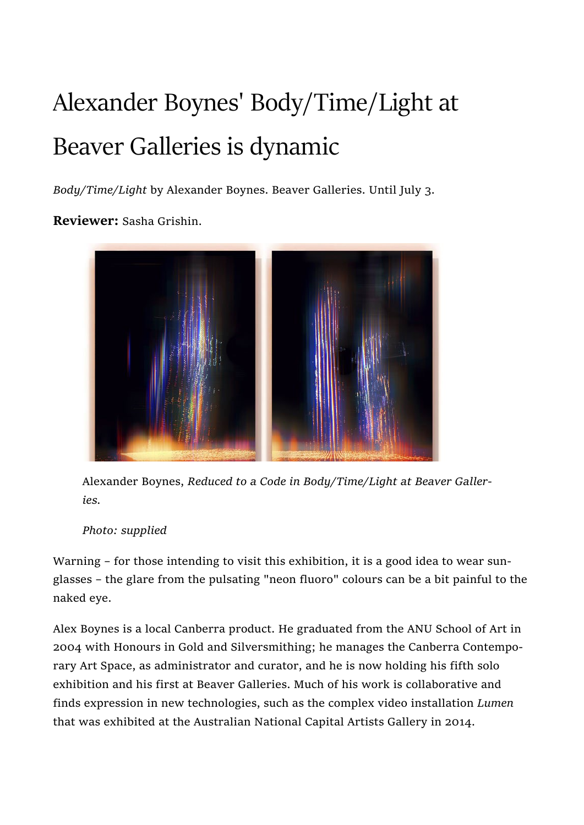## Alexander Boynes' Body/Time/Light at Beaver Galleries is dynamic

Body/Time/Light by Alexander Boynes. Beaver Galleries. Until July 3.

Reviewer: Sasha Grishin.



Alexander Boynes, Reduced to a Code in Body/Time/Light at Beaver Galleries.

Photo: supplied

Warning – for those intending to visit this exhibition, it is a good idea to wear sunglasses – the glare from the pulsating "neon fluoro" colours can be a bit painful to the naked eye.

Alex Boynes is a local Canberra product. He graduated from the ANU School of Art in 2004 with Honours in Gold and Silversmithing; he manages the Canberra Contemporary Art Space, as administrator and curator, and he is now holding his fifth solo exhibition and his first at Beaver Galleries. Much of his work is collaborative and finds expression in new technologies, such as the complex video installation Lumen that was exhibited at the Australian National Capital Artists Gallery in 2014.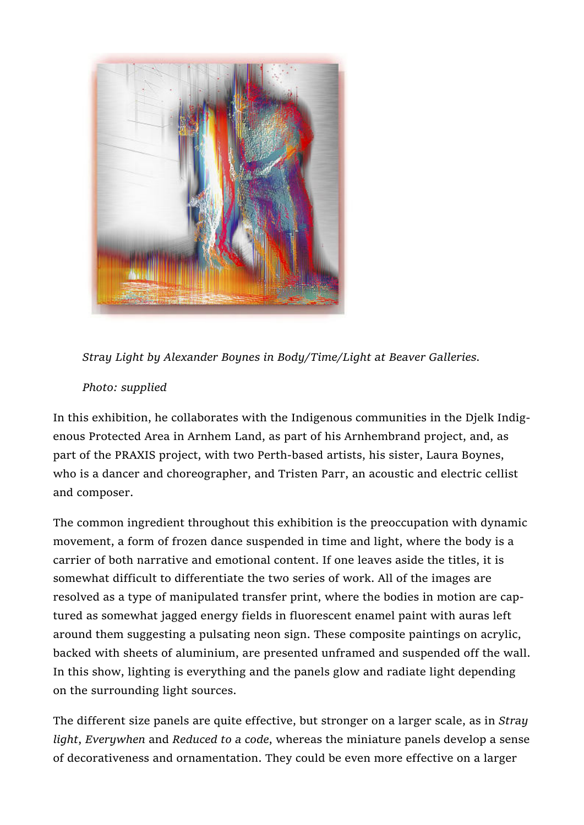

Stray Light by Alexander Boynes in Body/Time/Light at Beaver Galleries.

## Photo: supplied

In this exhibition, he collaborates with the Indigenous communities in the Djelk Indigenous Protected Area in Arnhem Land, as part of his Arnhembrand project, and, as part of the PRAXIS project, with two Perth-based artists, his sister, Laura Boynes, who is a dancer and choreographer, and Tristen Parr, an acoustic and electric cellist and composer.

The common ingredient throughout this exhibition is the preoccupation with dynamic movement, a form of frozen dance suspended in time and light, where the body is a carrier of both narrative and emotional content. If one leaves aside the titles, it is somewhat difficult to differentiate the two series of work. All of the images are resolved as a type of manipulated transfer print, where the bodies in motion are captured as somewhat jagged energy fields in fluorescent enamel paint with auras left around them suggesting a pulsating neon sign. These composite paintings on acrylic, backed with sheets of aluminium, are presented unframed and suspended off the wall. In this show, lighting is everything and the panels glow and radiate light depending on the surrounding light sources.

The different size panels are quite effective, but stronger on a larger scale, as in Stray light, Everywhen and Reduced to a code, whereas the miniature panels develop a sense of decorativeness and ornamentation. They could be even more effective on a larger